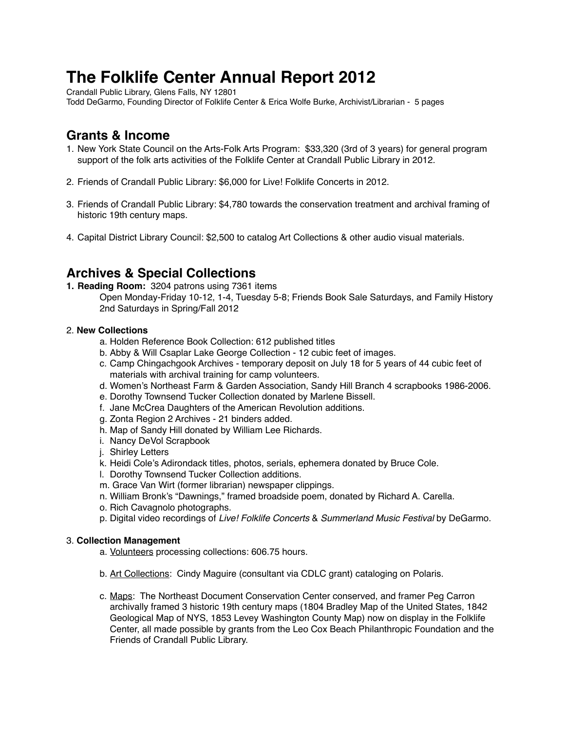# **The Folklife Center Annual Report 2012**

Crandall Public Library, Glens Falls, NY 12801

Todd DeGarmo, Founding Director of Folklife Center & Erica Wolfe Burke, Archivist/Librarian - 5 pages

# **Grants & Income**

- 1. New York State Council on the Arts-Folk Arts Program: \$33,320 (3rd of 3 years) for general program support of the folk arts activities of the Folklife Center at Crandall Public Library in 2012.
- 2. Friends of Crandall Public Library: \$6,000 for Live! Folklife Concerts in 2012.
- 3. Friends of Crandall Public Library: \$4,780 towards the conservation treatment and archival framing of historic 19th century maps.
- 4. Capital District Library Council: \$2,500 to catalog Art Collections & other audio visual materials.

# **Archives & Special Collections**

- **1. Reading Room:** 3204 patrons using 7361 items
	- Open Monday-Friday 10-12, 1-4, Tuesday 5-8; Friends Book Sale Saturdays, and Family History 2nd Saturdays in Spring/Fall 2012

#### 2. **New Collections**

- a. Holden Reference Book Collection: 612 published titles
- b. Abby & Will Csaplar Lake George Collection 12 cubic feet of images.
- c. Camp Chingachgook Archives temporary deposit on July 18 for 5 years of 44 cubic feet of materials with archival training for camp volunteers.
- d. Women's Northeast Farm & Garden Association, Sandy Hill Branch 4 scrapbooks 1986-2006.
- e. Dorothy Townsend Tucker Collection donated by Marlene Bissell.
- f. Jane McCrea Daughters of the American Revolution additions.
- g. Zonta Region 2 Archives 21 binders added.
- h. Map of Sandy Hill donated by William Lee Richards.
- i. Nancy DeVol Scrapbook
- j. Shirley Letters
- k. Heidi Cole's Adirondack titles, photos, serials, ephemera donated by Bruce Cole.
- l. Dorothy Townsend Tucker Collection additions.
- m. Grace Van Wirt (former librarian) newspaper clippings.
- n. William Bronk's "Dawnings," framed broadside poem, donated by Richard A. Carella.
- o. Rich Cavagnolo photographs.
- p. Digital video recordings of *Live! Folklife Concerts* & *Summerland Music Festival* by DeGarmo.

#### 3. **Collection Management**

- a. Volunteers processing collections: 606.75 hours.
- b. Art Collections: Cindy Maguire (consultant via CDLC grant) cataloging on Polaris.
- c. Maps: The Northeast Document Conservation Center conserved, and framer Peg Carron archivally framed 3 historic 19th century maps (1804 Bradley Map of the United States, 1842 Geological Map of NYS, 1853 Levey Washington County Map) now on display in the Folklife Center, all made possible by grants from the Leo Cox Beach Philanthropic Foundation and the Friends of Crandall Public Library.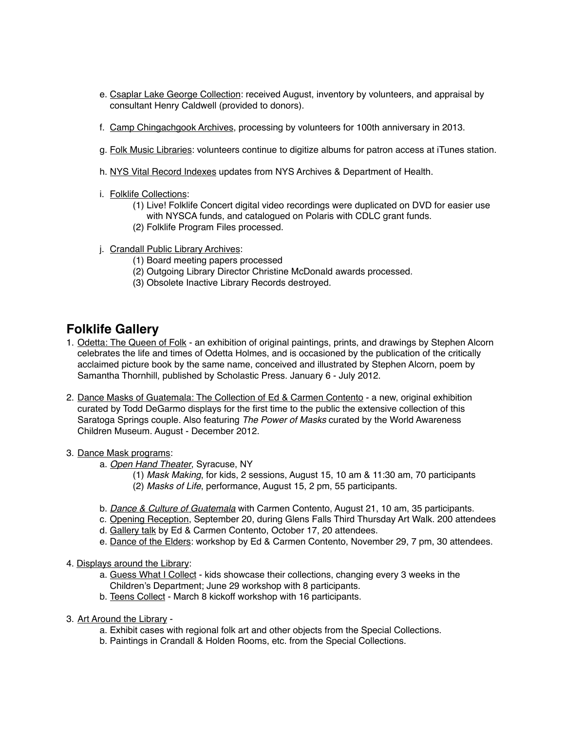- e. Csaplar Lake George Collection: received August, inventory by volunteers, and appraisal by consultant Henry Caldwell (provided to donors).
- f. Camp Chingachgook Archives, processing by volunteers for 100th anniversary in 2013.
- g. Folk Music Libraries: volunteers continue to digitize albums for patron access at iTunes station.
- h. NYS Vital Record Indexes updates from NYS Archives & Department of Health.
- i. Folklife Collections:
	- (1) Live! Folklife Concert digital video recordings were duplicated on DVD for easier use with NYSCA funds, and catalogued on Polaris with CDLC grant funds.
	- (2) Folklife Program Files processed.
- j. Crandall Public Library Archives:
	- ! ! (1) Board meeting papers processed
	- (2) Outgoing Library Director Christine McDonald awards processed.
	- (3) Obsolete Inactive Library Records destroyed.

# **Folklife Gallery**

- 1. Odetta: The Queen of Folk an exhibition of original paintings, prints, and drawings by Stephen Alcorn celebrates the life and times of Odetta Holmes, and is occasioned by the publication of the critically acclaimed picture book by the same name, conceived and illustrated by Stephen Alcorn, poem by Samantha Thornhill, published by Scholastic Press. January 6 - July 2012.
- 2. Dance Masks of Guatemala: The Collection of Ed & Carmen Contento a new, original exhibition curated by Todd DeGarmo displays for the first time to the public the extensive collection of this Saratoga Springs couple. Also featuring *The Power of Masks* curated by the World Awareness Children Museum. August - December 2012.
- 3. Dance Mask programs:
	- a. *Open Hand Theater*, Syracuse, NY
		- (1) *Mask Making*, for kids, 2 sessions, August 15, 10 am & 11:30 am, 70 participants (2) *Masks of Life*, performance, August 15, 2 pm, 55 participants.
	- b. *Dance & Culture of Guatemala* with Carmen Contento, August 21, 10 am, 35 participants.
	- c. Opening Reception, September 20, during Glens Falls Third Thursday Art Walk. 200 attendees
	- d. Gallery talk by Ed & Carmen Contento, October 17, 20 attendees.
	- e. Dance of the Elders: workshop by Ed & Carmen Contento, November 29, 7 pm, 30 attendees.
- 4. Displays around the Library:
	- a. Guess What I Collect kids showcase their collections, changing every 3 weeks in the Children's Department; June 29 workshop with 8 participants.
	- b. Teens Collect March 8 kickoff workshop with 16 participants.
- 3. Art Around the Library
	- a. Exhibit cases with regional folk art and other objects from the Special Collections.
	- b. Paintings in Crandall & Holden Rooms, etc. from the Special Collections.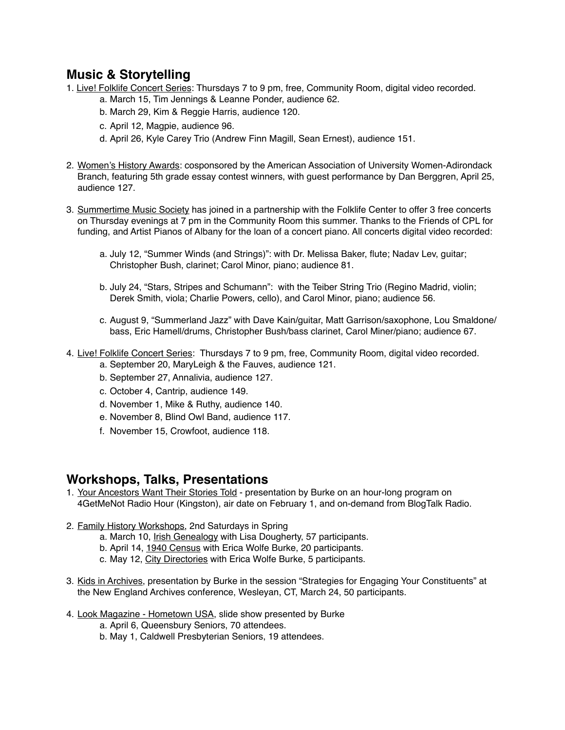# **Music & Storytelling**

- 1. Live! Folklife Concert Series: Thursdays 7 to 9 pm, free, Community Room, digital video recorded. a. March 15, Tim Jennings & Leanne Ponder, audience 62.
	- b. March 29, Kim & Reggie Harris, audience 120.
	- c. April 12, Magpie, audience 96.
	- d. April 26, Kyle Carey Trio (Andrew Finn Magill, Sean Ernest), audience 151.
- 2. Women's History Awards: cosponsored by the American Association of University Women-Adirondack Branch, featuring 5th grade essay contest winners, with guest performance by Dan Berggren, April 25, audience 127.
- 3. Summertime Music Society has joined in a partnership with the Folklife Center to offer 3 free concerts on Thursday evenings at 7 pm in the Community Room this summer. Thanks to the Friends of CPL for funding, and Artist Pianos of Albany for the loan of a concert piano. All concerts digital video recorded:
	- a. July 12, "Summer Winds (and Strings)": with Dr. Melissa Baker, flute; Nadav Lev, guitar; Christopher Bush, clarinet; Carol Minor, piano; audience 81.
	- b. July 24, "Stars, Stripes and Schumann": with the Teiber String Trio (Regino Madrid, violin; Derek Smith, viola; Charlie Powers, cello), and Carol Minor, piano; audience 56.
	- c. August 9, "Summerland Jazz" with Dave Kain/guitar, Matt Garrison/saxophone, Lou Smaldone/ bass, Eric Hamell/drums, Christopher Bush/bass clarinet, Carol Miner/piano; audience 67.
- 4. Live! Folklife Concert Series: Thursdays 7 to 9 pm, free, Community Room, digital video recorded.
	- a. September 20, MaryLeigh & the Fauves, audience 121.
	- b. September 27, Annalivia, audience 127.
	- c. October 4, Cantrip, audience 149.
	- d. November 1, Mike & Ruthy, audience 140.
	- e. November 8, Blind Owl Band, audience 117.
	- f. November 15, Crowfoot, audience 118.

# **Workshops, Talks, Presentations**

- 1. Your Ancestors Want Their Stories Told presentation by Burke on an hour-long program on 4GetMeNot Radio Hour (Kingston), air date on February 1, and on-demand from BlogTalk Radio.
- 2. Family History Workshops, 2nd Saturdays in Spring
	- a. March 10, Irish Genealogy with Lisa Dougherty, 57 participants.
	- b. April 14, 1940 Census with Erica Wolfe Burke, 20 participants.
	- c. May 12, City Directories with Erica Wolfe Burke, 5 participants.
- 3. Kids in Archives, presentation by Burke in the session "Strategies for Engaging Your Constituents" at the New England Archives conference, Wesleyan, CT, March 24, 50 participants.
- 4. Look Magazine Hometown USA, slide show presented by Burke
	- a. April 6, Queensbury Seniors, 70 attendees.
	- b. May 1, Caldwell Presbyterian Seniors, 19 attendees.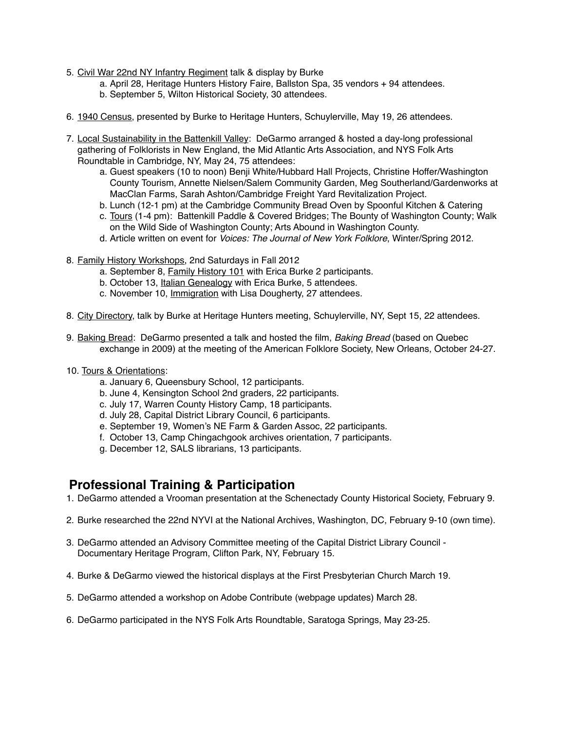- 5. Civil War 22nd NY Infantry Regiment talk & display by Burke
	- a. April 28, Heritage Hunters History Faire, Ballston Spa, 35 vendors + 94 attendees.
	- b. September 5, Wilton Historical Society, 30 attendees.
- 6. 1940 Census, presented by Burke to Heritage Hunters, Schuylerville, May 19, 26 attendees.
- 7. Local Sustainability in the Battenkill Valley: DeGarmo arranged & hosted a day-long professional gathering of Folklorists in New England, the Mid Atlantic Arts Association, and NYS Folk Arts Roundtable in Cambridge, NY, May 24, 75 attendees:
	- a. Guest speakers (10 to noon) Benji White/Hubbard Hall Projects, Christine Hoffer/Washington County Tourism, Annette Nielsen/Salem Community Garden, Meg Southerland/Gardenworks at MacClan Farms, Sarah Ashton/Cambridge Freight Yard Revitalization Project.
	- b. Lunch (12-1 pm) at the Cambridge Community Bread Oven by Spoonful Kitchen & Catering
	- c. Tours (1-4 pm): Battenkill Paddle & Covered Bridges; The Bounty of Washington County; Walk on the Wild Side of Washington County; Arts Abound in Washington County.
	- d. Article written on event for *Voices: The Journal of New York Folklore*, Winter/Spring 2012.
- 8. Family History Workshops, 2nd Saturdays in Fall 2012
	- a. September 8, Family History 101 with Erica Burke 2 participants.
	- b. October 13, Italian Genealogy with Erica Burke, 5 attendees.
	- c. November 10, Immigration with Lisa Dougherty, 27 attendees*.*
- 8. City Directory, talk by Burke at Heritage Hunters meeting, Schuylerville, NY, Sept 15, 22 attendees.
- 9. Baking Bread: DeGarmo presented a talk and hosted the film, *Baking Bread* (based on Quebec exchange in 2009) at the meeting of the American Folklore Society, New Orleans, October 24-27.
- 10. Tours & Orientations:
	- a. January 6, Queensbury School, 12 participants.
	- b. June 4, Kensington School 2nd graders, 22 participants.
	- c. July 17, Warren County History Camp, 18 participants.
	- d. July 28, Capital District Library Council, 6 participants.
	- e. September 19, Women's NE Farm & Garden Assoc, 22 participants.
	- f. October 13, Camp Chingachgook archives orientation, 7 participants.
	- g. December 12, SALS librarians, 13 participants.

### **Professional Training & Participation**

- 1. DeGarmo attended a Vrooman presentation at the Schenectady County Historical Society, February 9.
- 2. Burke researched the 22nd NYVI at the National Archives, Washington, DC, February 9-10 (own time).
- 3. DeGarmo attended an Advisory Committee meeting of the Capital District Library Council Documentary Heritage Program, Clifton Park, NY, February 15.
- 4. Burke & DeGarmo viewed the historical displays at the First Presbyterian Church March 19.
- 5. DeGarmo attended a workshop on Adobe Contribute (webpage updates) March 28.
- 6. DeGarmo participated in the NYS Folk Arts Roundtable, Saratoga Springs, May 23-25.